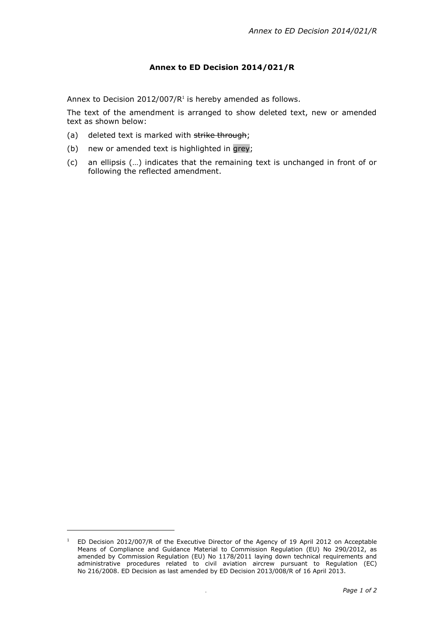## **Annex to ED Decision 2014/021/R**

Annex to Decision 2012/007/ $R<sup>1</sup>$  is hereby amended as follows.

The text of the amendment is arranged to show deleted text, new or amended text as shown below:

- (a) deleted text is marked with strike through;
- (b) new or amended text is highlighted in grey;
- (c) an ellipsis (…) indicates that the remaining text is unchanged in front of or following the reflected amendment.

-

<sup>&</sup>lt;sup>1</sup> ED Decision 2012/007/R of the Executive Director of the Agency of 19 April 2012 on Acceptable Means of Compliance and Guidance Material to Commission Regulation (EU) No 290/2012, as amended by Commission Regulation (EU) No 1178/2011 laying down technical requirements and administrative procedures related to civil aviation aircrew pursuant to Regulation (EC) No 216/2008. ED Decision as last amended by ED Decision 2013/008/R of 16 April 2013.